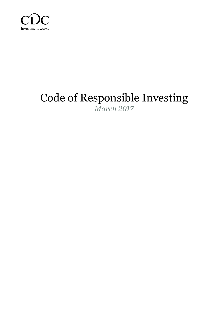

# Code of Responsible Investing *March 2017*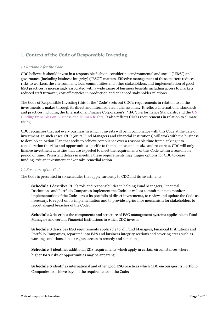# **1. Context of the Code of Responsible Investing**

#### *1.1 Rationale for the Code*

CDC believes it should invest in a responsible fashion, considering environmental and social ("E&S") and governance (including business integrity) ("ESG") matters. Effective management of these matters reduces risks to workers, the environment, local communities and other stakeholders, and implementation of good ESG practices is increasingly associated with a wide range of business benefits including access to markets, reduced staff turnover, cost efficiencies in production and enhanced stakeholder relations.

The Code of Responsible Investing (this or the "Code") sets out CDC's requirements in relation to all the investments it makes through its direct and intermediated business lines. It reflects international standards and practices including the International Finance Corporation's ("IFC") Performance Standards, and the [UN](http://www.ohchr.org/Documents/Publications/GuidingPrinciplesBusinessHR_EN.pdf)  [Guiding Principles on Business and Human Rights.](http://www.ohchr.org/Documents/Publications/GuidingPrinciplesBusinessHR_EN.pdf) It also reflects CDC's requirements in relation to climate change.

CDC recognises that not every business in which it invests will be in compliance with this Code at the date of investment. In such cases, CDC (or its Fund Managers and Financial Institutions) will work with the business to develop an Action Plan that seeks to achieve compliance over a reasonable time frame, taking into consideration the risks and opportunities specific to that business and its size and resources. CDC will only finance investment activities that are expected to meet the requirements of this Code within a reasonable period of time. Persistent delays in meeting these requirements may trigger options for CDC to cease funding, exit an investment and/or take remedial action.

#### *1.2 Structure of the Code*

The Code is presented in six schedules that apply variously to CDC and its investments.

**Schedule 1** describes CDC's role and responsibilities in helping Fund Managers, Financial Institutions and Portfolio Companies implement the Code, as well as commitments to monitor implementation of the Code across its portfolio of direct investments, to review and update the Code as necessary, to report on its implementation and to provide a grievance mechanism for stakeholders to report alleged breaches of the Code;

**Schedule 2** describes the components and structure of ESG management systems applicable to Fund Managers and certain Financial Institutions in which CDC invests;

**Schedule 3** describes ESG requirements applicable to all Fund Managers, Financial Institutions and Portfolio Companies, separated into E&S and business integrity sections and covering areas such as working conditions, labour rights, access to remedy and sanctions;

**Schedule 4** identifies additional E&S requirements which apply in certain circumstances where higher E&S risks or opportunities may be apparent;

**Schedule 5** identifies international and other good ESG practices which CDC encourages its Portfolio Companies to achieve beyond the requirements of the Code;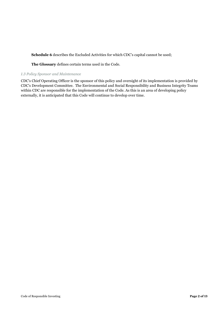**Schedule 6** describes the Excluded Activities for which CDC's capital cannot be used;

**The Glossary** defines certain terms used in the Code.

#### *1.3 Policy Sponsor and Maintenance*

CDC's Chief Operating Officer is the sponsor of this policy and oversight of its implementation is provided by CDC's Development Committee. The Environmental and Social Responsibility and Business Integrity Teams within CDC are responsible for the implementation of the Code. As this is an area of developing policy externally, it is anticipated that this Code will continue to develop over time.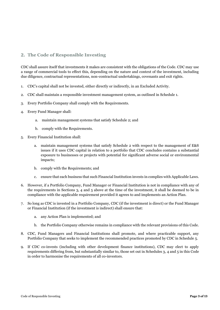## **2. The Code of Responsible Investing**

CDC shall assure itself that investments it makes are consistent with the obligations of the Code. CDC may use a range of commercial tools to effect this, depending on the nature and context of the investment, including due diligence, contractual representations, non-contractual undertakings, covenants and exit rights.

- 1. CDC's capital shall not be invested, either directly or indirectly, in an Excluded Activity.
- 2. CDC shall maintain a responsible investment management system, as outlined in Schedule 1.
- 3. Every Portfolio Company shall comply with the Requirements.
- 4. Every Fund Manager shall:
	- a. maintain management systems that satisfy Schedule 2; and
	- b. comply with the Requirements.
- 5. Every Financial Institution shall:
	- a. maintain management systems that satisfy Schedule 2 with respect to the management of E&S issues if it uses CDC capital in relation to a portfolio that CDC concludes contains a substantial exposure to businesses or projects with potential for significant adverse social or environmental impacts;
	- b. comply with the Requirements; and
	- c. ensure that each business that such Financial Institution invests in complies with Applicable Laws.
- 6. However, if a Portfolio Company, Fund Manager or Financial Institution is not in compliance with any of the requirements in Sections 3, 4 and 5 above at the time of the investment, it shall be deemed to be in compliance with the applicable requirement provided it agrees to and implements an Action Plan.
- 7. So long as CDC is invested in a Portfolio Company, CDC (if the investment is direct) or the Fund Manager or Financial Institution (if the investment is indirect) shall ensure that:
	- a. any Action Plan is implemented; and
	- b. the Portfolio Company otherwise remains in compliance with the relevant provisions of this Code.
- 8. CDC, Fund Managers and Financial Institutions shall promote, and where practicable support, any Portfolio Company that seeks to implement the recommended practices promoted by CDC in Schedule 5.
- 9. If CDC co-invests (including with other development finance institutions), CDC may elect to apply requirements differing from, but substantially similar to, those set out in Schedules 3, 4 and 5 in this Code in order to harmonise the requirements of all co-investors.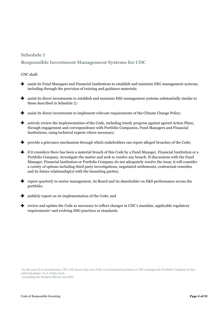## **Schedule 1**

## **Responsible Investment Management Systems for CDC**

#### CDC shall:

- assist its Fund Managers and Financial Institutions to establish and maintain ESG management systems, including through the provision of training and guidance materials;
- assist its direct investments to establish and maintain ESG management systems substantially similar to those described in Schedule 2:1
- assist its direct investments to implement relevant requirements of the Climate Change Policy;
- actively review the implementation of the Code, including timely progress against agreed Action Plans, through engagement and correspondence with Portfolio Companies, Fund Managers and Financial Institutions, using technical experts where necessary;
- **+** provide a grievance mechanism through which stakeholders can report alleged breaches of the Code;
- $\bigstar$  if it considers there has been a material breach of this Code by a Fund Manager, Financial Institution or a Portfolio Company, investigate the matter and seek to resolve any breach. If discussions with the Fund Manager, Financial Institution or Portfolio Company do not adequately resolve the issue, it will consider a variety of options including third party investigations, negotiated settlements, contractual remedies and its future relationship(s) with the breaching parties;
- **+** report quarterly to senior management, its Board and its shareholder on E&S performance across the portfolio;
- $\bullet$  publicly report on its implementation of the Code; and
- review and update the Code as necessary to reflect changes in CDC's mandate, applicable regulatory requirements<sup>2</sup> and evolving ESG practices or standards.

<sup>&</sup>lt;sup>1</sup> In the case of co-investments, CDC will ensure that one of the co-investment partners or CDC manages the Portfolio Company in line with Schedules 1 to 6 of this Code.

<sup>2</sup> Including the Modern Slavery Act 2015.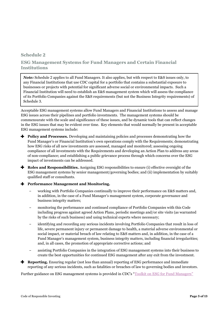## **Schedule 2**

## **ESG Management Systems for Fund Managers and Certain Financial Institutions**

*Note:* Schedule 2 applies to all Fund Managers. It also applies, but with respect to E&S issues only, to any Financial Institutions that use CDC capital for a portfolio that contains a substantial exposure to businesses or projects with potential for significant adverse social or environmental impacts. Such a Financial Institution will need to establish an E&S management system which will assess the compliance of its Portfolio Companies against the E&S requirements (but not the Business Integrity requirements) of Schedule 3.

Acceptable ESG management systems allow Fund Managers and Financial Institutions to assess and manage ESG issues across their pipelines and portfolio investments. The management systems should be commensurate with the scale and significance of these issues, and be dynamic tools that can reflect changes in the ESG issues that may be evident over time. Key elements that would normally be present in acceptable ESG management systems include:

- **Policy and Processes.** Developing and maintaining policies and processes demonstrating how the Fund Manager's or Financial Institution's own operations comply with the Requirements; demonstrating how ESG risks of all new investments are assessed, managed and monitored; assessing ongoing compliance of all investments with the Requirements and developing an Action Plan to address any areas of non-compliance; and establishing a public grievance process through which concerns over the ESG impact of investments can be addressed.
- **Roles and Responsibilities.** Assigning ESG responsibilities to ensure (i) effective oversight of the ESG management systems by senior management/governing bodies; and (ii) implementation by suitably qualified staff or consultants.

#### **Performance Management and Monitoring.**

- ‒ working with Portfolio Companies continually to improve their performance on E&S matters and, in addition, in the case of a Fund Manager's management system, corporate governance and business integrity matters;
- ‒ monitoring the performance and continued compliance of Portfolio Companies with this Code including progress against agreed Action Plans, periodic meetings and/or site visits (as warranted by the risks of such business) and using technical experts where necessary;
- ‒ identifying and recording any serious incidents involving Portfolio Companies that result in loss of life, severe permanent injury or permanent damage to health, a material adverse environmental or social impact, or material breach of law relating to E&S matters and, in addition, in the case of a Fund Manager's management system, business integrity matters, including financial irregularities; and, in all cases, the promotion of appropriate corrective actions; and
- ‒ assisting Portfolio Companies in the integration of ESG management systems into their business to create the best opportunities for continued ESG management after any exit from the investment.
- **Reporting.** Ensuring regular (not less than annual) reporting of ESG performance and immediate reporting of any serious incidents, such as fatalities or breaches of law to governing bodies and investors.

Further guidance on ESG management systems is provided in CDC's "[Toolkit on ESG for Fund Managers](http://toolkit.cdcgroup.com/)"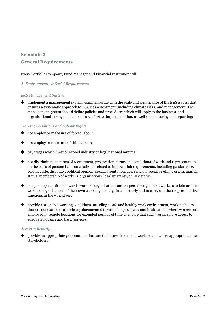# **Schedule 3 General Requirements**

#### Every Portfolio Company, Fund Manager and Financial Institution will:

#### *A. Environmental & Social Requirements*

#### *E&S Management System*

 $\bigstar$  implement a management system, commensurate with the scale and significance of the E&S issues, that ensures a systematic approach to E&S risk assessment (including climate risks) and management. The management system should define policies and procedures which will apply to the business, and organisational arrangements to ensure effective implementation, as well as monitoring and reporting;

#### *Working Conditions and Labour Rights*

- not employ or make use of forced labour;
- not employ or make use of child labour;
- $\bigstar$  pay wages which meet or exceed industry or legal national minima;
- not discriminate in terms of recruitment, progression, terms and conditions of work and representation, on the basis of personal characteristics unrelated to inherent job requirements, including gender, race, colour, caste, disability, political opinion, sexual orientation, age, religion, social or ethnic origin, marital status, membership of workers' organisations, legal migrants, or HIV status;
- adopt an open attitude towards workers' organisations and respect the right of all workers to join or form workers' organisations of their own choosing, to bargain collectively and to carry out their representative functions in the workplace;
- **+** provide reasonable working conditions including a safe and healthy work environment, working hours that are not excessive and clearly documented terms of employment; and in situations where workers are employed in remote locations for extended periods of time to ensure that such workers have access to adequate housing and basic services;

#### *Access to Remedy*

**+** provide an appropriate grievance mechanism that is available to all workers and where appropriate other stakeholders;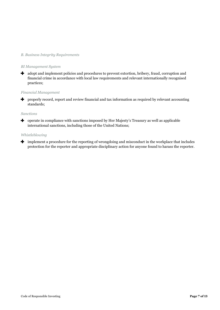#### *B. Business Integrity Requirements*

#### *BI Management System*

 $\bullet$  adopt and implement policies and procedures to prevent extortion, bribery, fraud, corruption and financial crime in accordance with local law requirements and relevant internationally recognised practices;

#### *Financial Management*

**+** properly record, report and review financial and tax information as required by relevant accounting standards;

#### *Sanctions*

**+** operate in compliance with sanctions imposed by Her Majesty's Treasury as well as applicable international sanctions, including those of the United Nations;

#### *Whistleblowing*

implement a procedure for the reporting of wrongdoing and misconduct in the workplace that includes protection for the reporter and appropriate disciplinary action for anyone found to harass the reporter.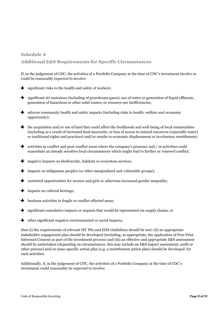# **Schedule 4 Additional E&S Requirements for Specific Circumstances**

If, in the judgement of CDC, the activities of a Portfolio Company at the time of CDC's investment involve or could be reasonably expected to involve:

- $\bullet$  significant risks to the health and safety of workers;
- significant air emissions (including of greenhouse gases), use of water or generation of liquid effluents, ÷. generation of hazardous or other solid wastes; or resource use inefficiencies;
- adverse community health and safety impacts (including risks to health, welfare and economic opportunity);
- $\bullet$  the acquisition and/or use of land that could affect the livelihoods and well-being of local communities (including as a result of increased food insecurity, or loss of access to natural resources (especially water) or traditional rights and practices) and/or results in economic displacement or involuntary resettlement;
- activities in conflict and post-conflict areas where the company's presence and / or activities could exacerbate an already sensitive local circumstances which might lead to further or renewed conflict;
- **negative impacts on biodiversity, habitats or ecosystem services;**
- impacts on indigenous peoples (or other marginalised and vulnerable groups);
- $\blacktriangleright$  restricted opportunities for women and girls or otherwise increased gender inequality;
- $\blacktriangleright$  impacts on cultural heritage;
- business activities in fragile or conflict affected areas;
- $\blacktriangleright$  significant cumulative impacts or impacts that would be represented via supply chains; or
- other significant negative environmental or social impacts,

then (i) the requirements of relevant IFC PSs and EHS Guidelines should be met; (ii) an appropriate stakeholder engagement plan should be developed (including, as appropriate, the application of Free Prior Informed Consent as part of the investment process) and (iii) an effective and appropriate E&S assessment should be undertaken (depending on circumstances, this may include an E&S impact assessment, audit or other process) and/or issue-specific action plan (e.g. a resettlement action plan) should be developed for such activities.

Additionally, if, in the judgement of CDC, the activities of a Portfolio Company at the time of CDC's investment could reasonably be expected to involve: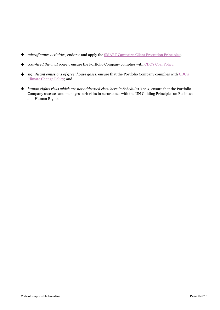- microfinance activities, endorse and apply the **SMART** Campaign Client Protection Principles;
- *coal-fired thermal power,* ensure the Portfolio Company complies with [CDC's Coal Policy;](http://www.cdcgroup.com/Documents/Coal%20Fired%20Power%20Generation%20Policy%20(2014).pdf)
- *significant emissions of greenhouse gases,* ensure that the Portfolio Company complies with [CDC's](http://www.cdcgroup.com/Documents/Transparency%20and%20reporting/Climate%20Change%20Policy%20(September%202014).pdf)  [Climate Change Policy;](http://www.cdcgroup.com/Documents/Transparency%20and%20reporting/Climate%20Change%20Policy%20(September%202014).pdf) and
- *human rights risks which are not addressed elsewhere in Schedules 3 or 4*, ensure that the Portfolio Company assesses and manages such risks in accordance with the UN Guiding Principles on Business and Human Rights.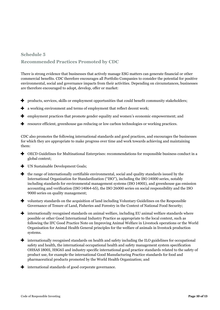# **Schedule 5 Recommended Practices Promoted by CDC**

There is strong evidence that businesses that actively manage ESG matters can generate financial or other commercial benefits. CDC therefore encourages all Portfolio Companies to consider the potential for positive environmental, social and governance impacts from their activities. Depending on circumstances, businesses are therefore encouraged to adopt, develop, offer or market:

- $\bullet$  products, services, skills or employment opportunities that could benefit community stakeholders;
- $\blacktriangleright$  a working environment and terms of employment that reflect decent work;
- $\bullet$  employment practices that promote gender equality and women's economic empowerment; and
- **+** resource efficient, greenhouse gas reducing or low carbon technologies or working practices.

CDC also promotes the following international standards and good practices, and encourages the businesses for which they are appropriate to make progress over time and work towards achieving and maintaining them:

- OECD Guidelines for Multinational Enterprises: recommendations for responsible business conduct in a global context;
- UN Sustainable Development Goals;
- $\bigstar$  the range of internationally certifiable environmental, social and quality standards issued by the International Organization for Standardization ("ISO"), including the ISO 14000 series, notably including standards for environmental management systems (ISO 14001), and greenhouse gas emission accounting and verification (ISO 14064-65), the ISO 26000 series on social responsibility and the ISO 9000 series on quality management;
- voluntary standards on the acquisition of land including Voluntary Guidelines on the Responsible Governance of Tenure of Land, Fisheries and Forestry in the Context of National Food Security;
- internationally recognised standards on animal welfare, including EU animal welfare standards where possible or other Good International Industry Practice as appropriate to the local context, such as following the IFC Good Practice Note on Improving Animal Welfare in Livestock operations or the World Organisation for Animal Health General principles for the welfare of animals in livestock production systems*.*
- internationally recognised standards on health and safety including the ILO guidelines for occupational safety and health, the international occupational health and safety management system specification OHSAS 18001, HSG65 and industry specific international good practice standards related to the safety of product use, for example the international Good Manufacturing Practice standards for food and pharmaceutical products promoted by the World Health Organization; and
- international standards of good corporate governance.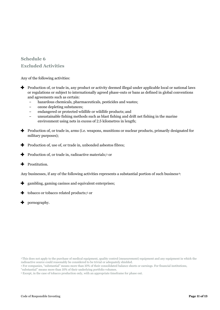# **Schedule 6 Excluded Activities**

Any of the following activities:

- **Production of, or trade in, any product or activity deemed illegal under applicable local or national laws** or regulations or subject to internationally agreed phase-outs or bans as defined in global conventions and agreements such as certain:
	- hazardous chemicals, pharmaceuticals, pesticides and wastes;
	- ‒ ozone depleting substances;
	- ‒ endangered or protected wildlife or wildlife products; and
	- ‒ unsustainable fishing methods such as blast fishing and drift net fishing in the marine environment using nets in excess of 2.5 kilometres in length;
- Production of, or trade in, arms (i.e. weapons, munitions or nuclear products, primarily designated for military purposes);
- $\blacktriangleright$  Production of, use of, or trade in, unbonded asbestos fibres;
- Production of, or trade in, radioactive materials; <sup>3</sup> or
- Prostitution. ᆠ

Any businesses, if any of the following activities represents a substantial portion of such business<sup>4</sup>:

- gambling, gaming casinos and equivalent enterprises; ٠
- ж. tobacco or tobacco related products; <sup>5</sup> or
- **+** pornography.

<sup>3</sup>This does not apply to the purchase of medical equipment, quality control (measurement) equipment and any equipment in which the radioactive source could reasonably be considered to be trivial or adequately shielded.

<sup>4</sup> For companies, "substantial" means more than 10% of their consolidated balance sheets or earnings. For financial institutions,

<sup>&</sup>quot;substantial" means more than 10% of their underlying portfolio volumes.

<sup>5</sup> Except, in the case of tobacco production only, with an appropriate timeframe for phase out.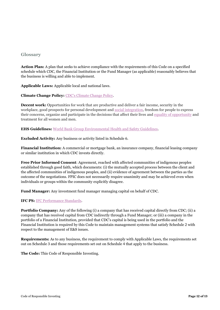#### **Glossary**

**Action Plan:** A plan that seeks to achieve compliance with the requirements of this Code on a specified schedule which CDC, the Financial Institution or the Fund Manager (as applicable) reasonably believes that the business is willing and able to implement.

**Applicable Laws:** Applicable local and national laws.

**Climate Change Policy:** [CDC's Climate Change Policy.](http://www.cdcgroup.com/Documents/Transparency%20and%20reporting/Climate%20Change%20Policy%20(September%202014).pdf)

**Decent work:** Opportunities for work that are productive and deliver a fair income, security in the workplace, good prospects for personal development and [social integration,](https://en.wikipedia.org/wiki/Social_integration) freedom for people to express their concerns, organize and participate in the decisions that affect their lives and [equality of opportunity](https://en.wikipedia.org/wiki/Equality_of_opportunity) and treatment for all women and men.

**EHS Guidelines:** [World Bank Group Environmental Health and Safety Guidelines.](http://www.ifc.org/wps/wcm/connect/topics_ext_content/ifc_external_corporate_site/ifc+sustainability/our+approach/risk+management/ehsguidelines)

**Excluded Activity:** Any business or activity listed in Schedule 6.

**Financial Institution:** A commercial or mortgage bank, an insurance company, financial leasing company or similar institution in which CDC invests directly.

**Free Prior Informed Consent**: Agreement, reached with affected communities of indigenous peoples established through good faith, which documents: (i) the mutually accepted process between the client and the affected communities of indigenous peoples, and (ii) evidence of agreement between the parties as the outcome of the negotiations. FPIC does not necessarily require unanimity and may be achieved even when individuals or groups within the community explicitly disagree.

**Fund Manager:** Any investment fund manager managing capital on behalf of CDC.

**IFC PS: IFC Performance Standards.** 

**Portfolio Company:** Any of the following (i) a company that has received capital directly from CDC; (ii) a company that has received capital from CDC indirectly through a Fund Manager; or (iii) a company in the portfolio of a Financial Institution, provided that CDC's capital is being used in the portfolio and the Financial Institution is required by this Code to maintain management systems that satisfy Schedule 2 with respect to the management of E&S issues.

**Requirements:** As to any business, the requirement to comply with Applicable Laws, the requirements set out on Schedule 3 and those requirements set out on Schedule 4 that apply to the business.

**The Code:** This Code of Responsible Investing.